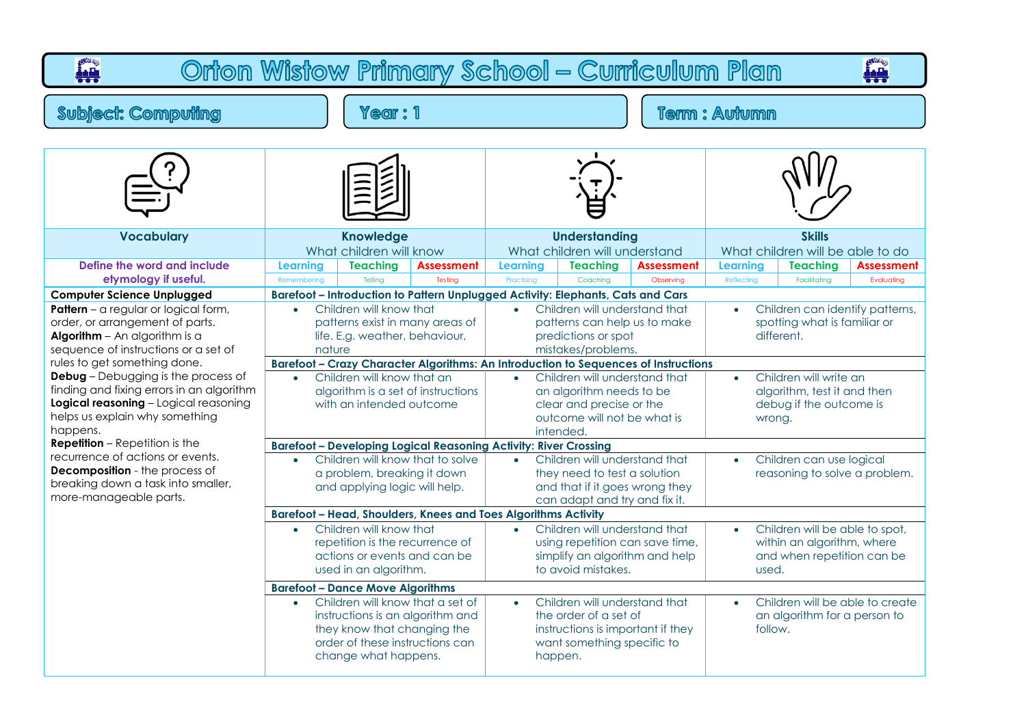| <b>OWRS</b><br>Orton Wistow Primary School - Curriculum Plan                                                                                                                                                                                                                                                                     |                                |                                                                                                                                                                                                           |                                                                                                                                                                                                              |                               |                                                                                                                                                                                                          |                                |                               |                                                                                                                                        |                                 |  |  |
|----------------------------------------------------------------------------------------------------------------------------------------------------------------------------------------------------------------------------------------------------------------------------------------------------------------------------------|--------------------------------|-----------------------------------------------------------------------------------------------------------------------------------------------------------------------------------------------------------|--------------------------------------------------------------------------------------------------------------------------------------------------------------------------------------------------------------|-------------------------------|----------------------------------------------------------------------------------------------------------------------------------------------------------------------------------------------------------|--------------------------------|-------------------------------|----------------------------------------------------------------------------------------------------------------------------------------|---------------------------------|--|--|
| <b>Subject: Computing</b>                                                                                                                                                                                                                                                                                                        |                                | Year: 1                                                                                                                                                                                                   |                                                                                                                                                                                                              | <b>Term: Autumn</b>           |                                                                                                                                                                                                          |                                |                               |                                                                                                                                        |                                 |  |  |
|                                                                                                                                                                                                                                                                                                                                  |                                |                                                                                                                                                                                                           |                                                                                                                                                                                                              |                               |                                                                                                                                                                                                          |                                |                               |                                                                                                                                        |                                 |  |  |
| <b>Vocabulary</b>                                                                                                                                                                                                                                                                                                                |                                | <b>Knowledge</b><br>What children will know                                                                                                                                                               |                                                                                                                                                                                                              |                               | <b>Understanding</b><br>What children will understand                                                                                                                                                    |                                |                               | <b>Skills</b><br>What children will be able to do                                                                                      |                                 |  |  |
| Define the word and include<br>etymology if useful.                                                                                                                                                                                                                                                                              | <b>Learning</b><br>Remembering | <b>Teaching</b><br>Telling                                                                                                                                                                                | <b>Assessment</b><br>Testina                                                                                                                                                                                 | <b>Learning</b><br>Practising | <b>Teaching</b><br>Coaching                                                                                                                                                                              | <b>Assessment</b><br>Observing | <b>Learning</b><br>Reflecting | <b>Teaching</b><br>Facilitatina                                                                                                        | <b>Assessment</b><br>Evaluating |  |  |
| <b>Computer Science Unplugged</b><br><b>Pattern</b> – a regular or logical form,<br>order, or arrangement of parts.<br><b>Algorithm</b> $-$ An algorithm is a<br>sequence of instructions or a set of<br>rules to get something done.<br><b>Debug</b> - Debugging is the process of<br>finding and fixing errors in an algorithm | nature<br>$\bullet$            | Children will know that<br>patterns exist in many areas of<br>life. E.g. weather, behaviour,<br>Children will know that an                                                                                | Barefoot - Introduction to Pattern Unplugged Activity: Elephants, Cats and Cars<br>Barefoot - Crazy Character Algorithms: An Introduction to Sequences of Instructions<br>algorithm is a set of instructions | $\bullet$                     | Children will understand that<br>patterns can help us to make<br>predictions or spot<br>mistakes/problems.<br>Children will understand that<br>an algorithm needs to be                                  |                                | $\bullet$                     | Children can identify patterns,<br>spotting what is familiar or<br>different.<br>Children will write an<br>algorithm, test it and then |                                 |  |  |
| Logical reasoning - Logical reasoning<br>helps us explain why something<br>happens.<br><b>Repetition</b> – Repetition is the<br>recurrence of actions or events.<br><b>Decomposition</b> - the process of<br>breaking down a task into smaller,<br>more-manageable parts.                                                        | $\bullet$                      | with an intended outcome<br>a problem, breaking it down<br>and applying logic will help.                                                                                                                  | <b>Barefoot - Developing Logical Reasoning Activity: River Crossing</b><br>Children will know that to solve                                                                                                  | $\bullet$                     | clear and precise or the<br>outcome will not be what is<br>intended.<br>Children will understand that<br>they need to test a solution<br>and that if it goes wrong they<br>can adapt and try and fix it. |                                | wrong.                        | debug if the outcome is<br>Children can use logical<br>reasoning to solve a problem.                                                   |                                 |  |  |
|                                                                                                                                                                                                                                                                                                                                  | $\bullet$                      | Children will know that<br>repetition is the recurrence of<br>actions or events and can be<br>used in an algorithm.                                                                                       | <b>Barefoot - Head, Shoulders, Knees and Toes Algorithms Activity</b>                                                                                                                                        | $\bullet$                     | Children will understand that<br>using repetition can save time,<br>simplify an algorithm and help<br>to avoid mistakes.                                                                                 |                                | used.                         | Children will be able to spot,<br>within an algorithm, where<br>and when repetition can be                                             |                                 |  |  |
|                                                                                                                                                                                                                                                                                                                                  |                                | <b>Barefoot - Dance Move Algorithms</b><br>Children will know that a set of<br>instructions is an algorithm and<br>they know that changing the<br>order of these instructions can<br>change what happens. |                                                                                                                                                                                                              | $\bullet$                     | Children will understand that<br>the order of a set of<br>instructions is important if they<br>want something specific to<br>happen.                                                                     |                                | follow.                       | Children will be able to create<br>an algorithm for a person to                                                                        |                                 |  |  |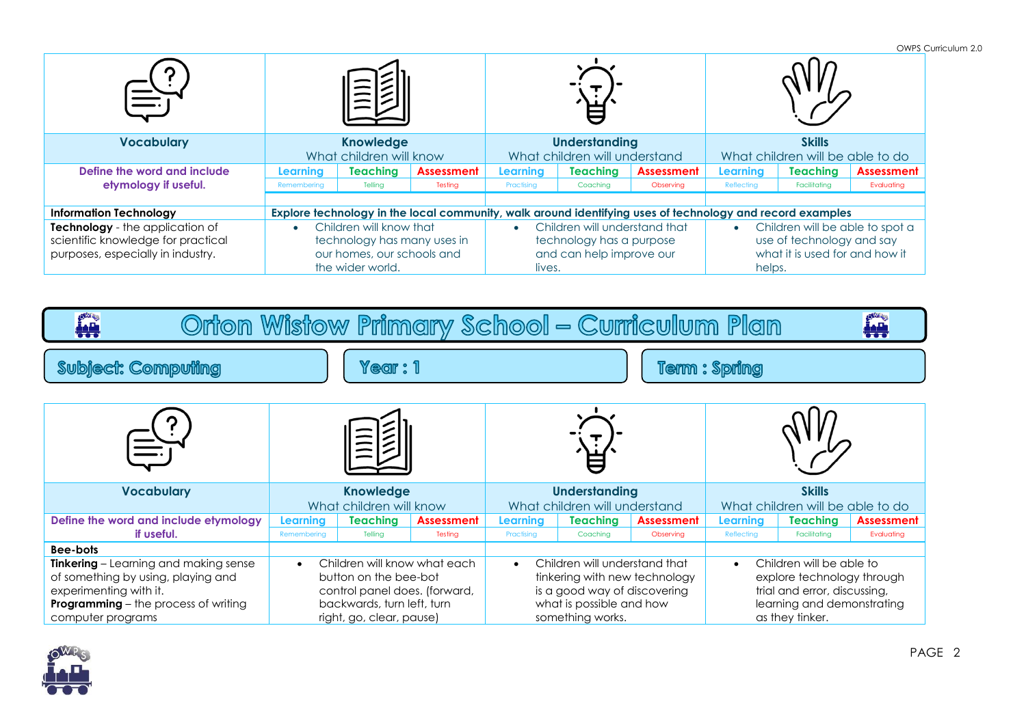|                                    |                             |                                                                                                           |                   |                               |                               |                   |                                 |                                  | OWPS Curriculum 2.0 |  |
|------------------------------------|-----------------------------|-----------------------------------------------------------------------------------------------------------|-------------------|-------------------------------|-------------------------------|-------------------|---------------------------------|----------------------------------|---------------------|--|
|                                    |                             |                                                                                                           |                   |                               |                               |                   |                                 |                                  |                     |  |
| <b>Vocabulary</b>                  | <b>Knowledge</b>            |                                                                                                           |                   | <b>Understanding</b>          |                               |                   | <b>Skills</b>                   |                                  |                     |  |
|                                    |                             | What children will know                                                                                   |                   |                               | What children will understand |                   |                                 | What children will be able to do |                     |  |
| Define the word and include        | Learnina                    | <b>Teaching</b>                                                                                           | <b>Assessment</b> | Learning                      | <b>Teaching</b>               | <b>Assessment</b> | Learning                        | <b>Teaching</b>                  | <b>Assessment</b>   |  |
| etymology if useful.               | Remembering                 | Telling                                                                                                   | Testing           | Practising                    | Coaching                      | Observing         | Reflecting                      | Facilitating                     | Evaluating          |  |
|                                    |                             |                                                                                                           |                   |                               |                               |                   |                                 |                                  |                     |  |
| <b>Information Technology</b>      |                             | Explore technology in the local community, walk around identifying uses of technology and record examples |                   |                               |                               |                   |                                 |                                  |                     |  |
| Technology - the application of    | Children will know that     |                                                                                                           |                   | Children will understand that |                               |                   | Children will be able to spot a |                                  |                     |  |
| scientific knowledge for practical | technology has many uses in |                                                                                                           |                   | technology has a purpose      |                               |                   | use of technology and say       |                                  |                     |  |
| purposes, especially in industry.  | our homes, our schools and  |                                                                                                           |                   | and can help improve our      |                               |                   | what it is used for and how it  |                                  |                     |  |
|                                    |                             | the wider world.                                                                                          |                   |                               | lives.                        |                   |                                 | helps.                           |                     |  |

| Orton Wistow Primary School – Curriculum Plan<br>اللغه<br>نيم<br>د د                                                                                                                  |                                                                                                                                                               |                                             |                              |                                                                                                                                                             |                                                       |                                |                                                                                                                                                      |                                                   |                                 |  |
|---------------------------------------------------------------------------------------------------------------------------------------------------------------------------------------|---------------------------------------------------------------------------------------------------------------------------------------------------------------|---------------------------------------------|------------------------------|-------------------------------------------------------------------------------------------------------------------------------------------------------------|-------------------------------------------------------|--------------------------------|------------------------------------------------------------------------------------------------------------------------------------------------------|---------------------------------------------------|---------------------------------|--|
| <b>Subject: Computing</b><br>Year: 1                                                                                                                                                  |                                                                                                                                                               |                                             |                              | <b>Term: Spring</b>                                                                                                                                         |                                                       |                                |                                                                                                                                                      |                                                   |                                 |  |
|                                                                                                                                                                                       |                                                                                                                                                               |                                             |                              |                                                                                                                                                             |                                                       |                                |                                                                                                                                                      |                                                   |                                 |  |
| <b>Vocabulary</b>                                                                                                                                                                     |                                                                                                                                                               | <b>Knowledge</b><br>What children will know |                              |                                                                                                                                                             | <b>Understanding</b><br>What children will understand |                                |                                                                                                                                                      | <b>Skills</b><br>What children will be able to do |                                 |  |
| Define the word and include etymology<br>if useful.                                                                                                                                   | <b>Learnina</b><br>Remembering                                                                                                                                | <b>Teaching</b><br>Telling                  | <b>Assessment</b><br>Testing | Learning<br>Practising                                                                                                                                      | <b>Teaching</b><br>Coaching                           | <b>Assessment</b><br>Observing | Learning<br>Reflecting                                                                                                                               | <b>Teaching</b><br>Facilitating                   | <b>Assessment</b><br>Evaluating |  |
| Bee-bots<br>Tinkering - Learning and making sense<br>of something by using, playing and<br>experimenting with it.<br><b>Programming</b> - the process of writing<br>computer programs | Children will know what each<br>$\bullet$<br>button on the bee-bot<br>control panel does. (forward,<br>backwards, turn left, turn<br>right, go, clear, pause) |                                             |                              | Children will understand that<br>$\bullet$<br>tinkering with new technology<br>is a good way of discovering<br>what is possible and how<br>something works. |                                                       |                                | Children will be able to<br>$\bullet$<br>explore technology through<br>trial and error, discussing,<br>learning and demonstrating<br>as they tinker. |                                                   |                                 |  |

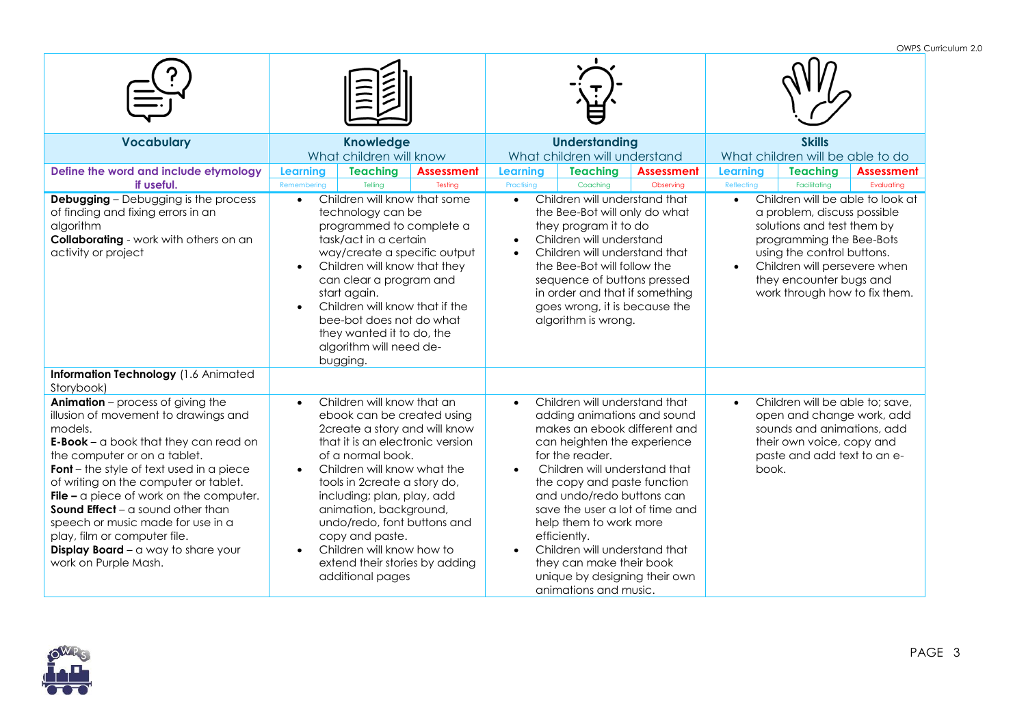|                                                                                                                                                                                                                                                                                                                                                                                                                                                                                                   |                                                                                                                                                                                                                                                                                                                                                                                                                                          |                                                                                                                                                                                                                                                                                                                                                                                                                                                              | OWPS Curriculum 2.0                                                                                                                                                                                                                                              |  |  |
|---------------------------------------------------------------------------------------------------------------------------------------------------------------------------------------------------------------------------------------------------------------------------------------------------------------------------------------------------------------------------------------------------------------------------------------------------------------------------------------------------|------------------------------------------------------------------------------------------------------------------------------------------------------------------------------------------------------------------------------------------------------------------------------------------------------------------------------------------------------------------------------------------------------------------------------------------|--------------------------------------------------------------------------------------------------------------------------------------------------------------------------------------------------------------------------------------------------------------------------------------------------------------------------------------------------------------------------------------------------------------------------------------------------------------|------------------------------------------------------------------------------------------------------------------------------------------------------------------------------------------------------------------------------------------------------------------|--|--|
|                                                                                                                                                                                                                                                                                                                                                                                                                                                                                                   |                                                                                                                                                                                                                                                                                                                                                                                                                                          |                                                                                                                                                                                                                                                                                                                                                                                                                                                              |                                                                                                                                                                                                                                                                  |  |  |
| <b>Vocabulary</b>                                                                                                                                                                                                                                                                                                                                                                                                                                                                                 | <b>Knowledge</b><br>What children will know                                                                                                                                                                                                                                                                                                                                                                                              | <b>Understanding</b><br>What children will understand                                                                                                                                                                                                                                                                                                                                                                                                        | <b>Skills</b><br>What children will be able to do                                                                                                                                                                                                                |  |  |
| Define the word and include etymology<br>if useful.                                                                                                                                                                                                                                                                                                                                                                                                                                               | Learning<br><b>Teaching</b><br><b>Assessment</b><br>Tellina<br>Testing<br>Remembering                                                                                                                                                                                                                                                                                                                                                    | <b>Teaching</b><br><b>Assessment</b><br>Learning<br>Practising<br>Coaching<br>Observing                                                                                                                                                                                                                                                                                                                                                                      | <b>Teaching</b><br><b>Learning</b><br><b>Assessment</b><br>Reflecting<br>Facilitating<br>Evaluating                                                                                                                                                              |  |  |
| <b>Debugging</b> - Debugging is the process<br>of finding and fixing errors in an<br>algorithm<br><b>Collaborating</b> - work with others on an<br>activity or project                                                                                                                                                                                                                                                                                                                            | Children will know that some<br>$\bullet$<br>technology can be<br>programmed to complete a<br>task/act in a certain<br>way/create a specific output<br>Children will know that they<br>$\bullet$<br>can clear a program and<br>start again.<br>Children will know that if the<br>$\bullet$<br>bee-bot does not do what<br>they wanted it to do, the<br>algorithm will need de-<br>bugging.                                               | Children will understand that<br>$\bullet$<br>the Bee-Bot will only do what<br>they program it to do<br>Children will understand<br>Children will understand that<br>$\bullet$<br>the Bee-Bot will follow the<br>sequence of buttons pressed<br>in order and that if something<br>goes wrong, it is because the<br>algorithm is wrong.                                                                                                                       | Children will be able to look at<br>$\bullet$<br>a problem, discuss possible<br>solutions and test them by<br>programming the Bee-Bots<br>using the control buttons.<br>Children will persevere when<br>they encounter bugs and<br>work through how to fix them. |  |  |
| Information Technology (1.6 Animated<br>Storybook)                                                                                                                                                                                                                                                                                                                                                                                                                                                |                                                                                                                                                                                                                                                                                                                                                                                                                                          |                                                                                                                                                                                                                                                                                                                                                                                                                                                              |                                                                                                                                                                                                                                                                  |  |  |
| Animation - process of giving the<br>illusion of movement to drawings and<br>models.<br>$E-Book - a book that they can read on$<br>the computer or on a tablet.<br><b>Font</b> – the style of text used in a piece<br>of writing on the computer or tablet.<br>File $-$ a piece of work on the computer.<br><b>Sound Effect</b> – a sound other than<br>speech or music made for use in a<br>play, film or computer file.<br><b>Display Board</b> $-$ a way to share your<br>work on Purple Mash. | Children will know that an<br>$\bullet$<br>ebook can be created using<br>2create a story and will know<br>that it is an electronic version<br>of a normal book.<br>Children will know what the<br>$\bullet$<br>tools in 2create a story do,<br>including; plan, play, add<br>animation, background,<br>undo/redo, font buttons and<br>copy and paste.<br>Children will know how to<br>extend their stories by adding<br>additional pages | Children will understand that<br>$\bullet$<br>adding animations and sound<br>makes an ebook different and<br>can heighten the experience<br>for the reader.<br>Children will understand that<br>the copy and paste function<br>and undo/redo buttons can<br>save the user a lot of time and<br>help them to work more<br>efficiently.<br>Children will understand that<br>they can make their book<br>unique by designing their own<br>animations and music. | Children will be able to; save,<br>$\bullet$<br>open and change work, add<br>sounds and animations, add<br>their own voice, copy and<br>paste and add text to an e-<br>book.                                                                                     |  |  |